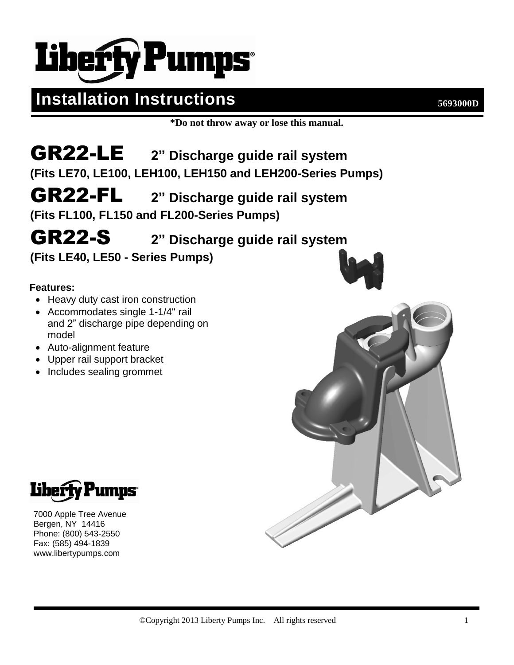# **Liberty Pumps**

### **Installation Instructions 5693000D**

**\*Do not throw away or lose this manual.**

### GR22-LE **2" Discharge guide rail system (Fits LE70, LE100, LEH100, LEH150 and LEH200-Series Pumps)**

GR22-FL **2" Discharge guide rail system**

**(Fits FL100, FL150 and FL200-Series Pumps)**

## GR22-S **2" Discharge guide rail system**

**(Fits LE40, LE50 - Series Pumps)**

#### **Features:**

- Heavy duty cast iron construction
- Accommodates single 1-1/4" rail and 2" discharge pipe depending on model
- Auto-alignment feature
- Upper rail support bracket
- Includes sealing grommet







7000 Apple Tree Avenue Bergen, NY 14416 Phone: (800) 543-2550 Fax: (585) 494-1839 www.libertypumps.com